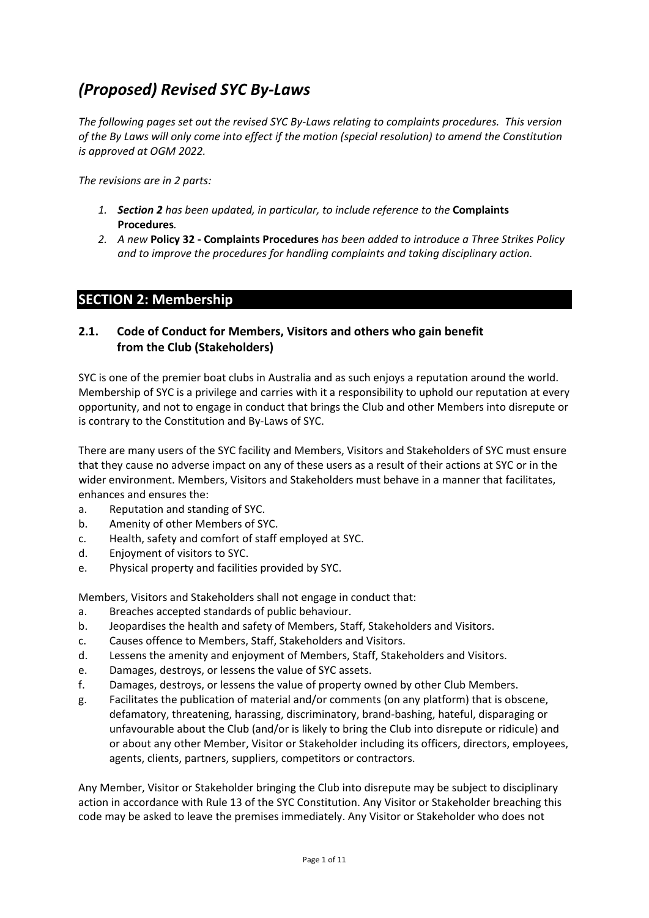# *(Proposed) Revised SYC By-Laws*

*The following pages set out the revised SYC By-Laws relating to complaints procedures. This version of the By Laws will only come into effect if the motion (special resolution) to amend the Constitution is approved at OGM 2022.*

*The revisions are in 2 parts:*

- *1. Section 2 has been updated, in particular, to include reference to the* **Complaints Procedures***.*
- *2. A new* **Policy 32 - Complaints Procedures** *has been added to introduce a Three Strikes Policy and to improve the procedures for handling complaints and taking disciplinary action.*

## **SECTION 2: Membership**

## **2.1. Code of Conduct for Members, Visitors and others who gain benefit from the Club (Stakeholders)**

SYC is one of the premier boat clubs in Australia and as such enjoys a reputation around the world. Membership of SYC is a privilege and carries with it a responsibility to uphold our reputation at every opportunity, and not to engage in conduct that brings the Club and other Members into disrepute or is contrary to the Constitution and By-Laws of SYC.

There are many users of the SYC facility and Members, Visitors and Stakeholders of SYC must ensure that they cause no adverse impact on any of these users as a result of their actions at SYC or in the wider environment. Members, Visitors and Stakeholders must behave in a manner that facilitates, enhances and ensures the:

- a. Reputation and standing of SYC.
- b. Amenity of other Members of SYC.
- c. Health, safety and comfort of staff employed at SYC.
- d. Enjoyment of visitors to SYC.
- e. Physical property and facilities provided by SYC.

Members, Visitors and Stakeholders shall not engage in conduct that:

- a. Breaches accepted standards of public behaviour.
- b. Jeopardises the health and safety of Members, Staff, Stakeholders and Visitors.
- c. Causes offence to Members, Staff, Stakeholders and Visitors.
- d. Lessens the amenity and enjoyment of Members, Staff, Stakeholders and Visitors.
- e. Damages, destroys, or lessens the value of SYC assets.
- f. Damages, destroys, or lessens the value of property owned by other Club Members.
- g. Facilitates the publication of material and/or comments (on any platform) that is obscene, defamatory, threatening, harassing, discriminatory, brand-bashing, hateful, disparaging or unfavourable about the Club (and/or is likely to bring the Club into disrepute or ridicule) and or about any other Member, Visitor or Stakeholder including its officers, directors, employees, agents, clients, partners, suppliers, competitors or contractors.

Any Member, Visitor or Stakeholder bringing the Club into disrepute may be subject to disciplinary action in accordance with Rule 13 of the SYC Constitution. Any Visitor or Stakeholder breaching this code may be asked to leave the premises immediately. Any Visitor or Stakeholder who does not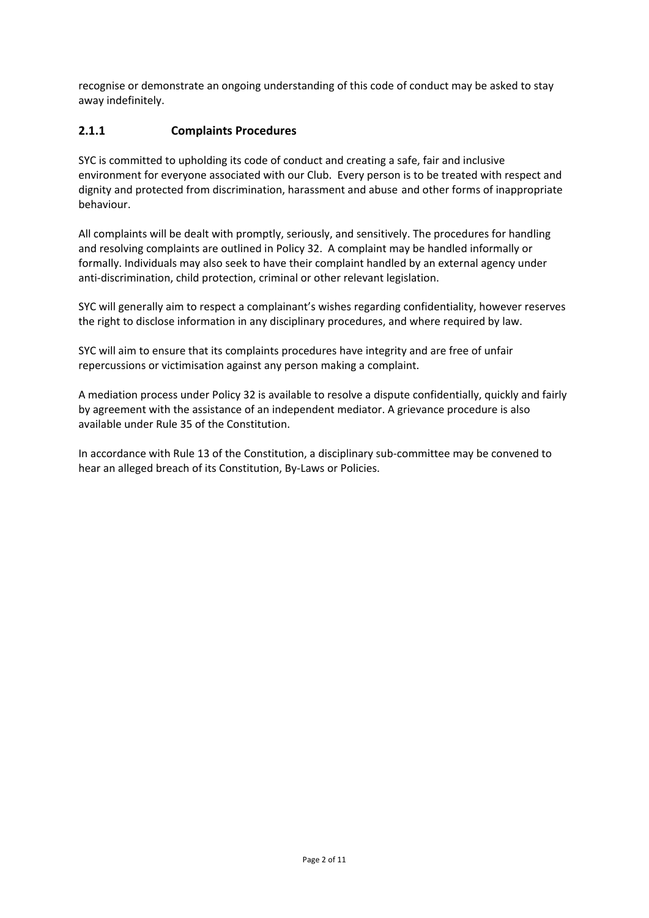recognise or demonstrate an ongoing understanding of this code of conduct may be asked to stay away indefinitely.

## **2.1.1 Complaints Procedures**

SYC is committed to upholding its code of conduct and creating a safe, fair and inclusive environment for everyone associated with our Club. Every person is to be treated with respect and dignity and protected from discrimination, harassment and abuse and other forms of inappropriate behaviour.

All complaints will be dealt with promptly, seriously, and sensitively. The procedures for handling and resolving complaints are outlined in Policy 32. A complaint may be handled informally or formally. Individuals may also seek to have their complaint handled by an external agency under anti-discrimination, child protection, criminal or other relevant legislation.

SYC will generally aim to respect a complainant's wishes regarding confidentiality, however reserves the right to disclose information in any disciplinary procedures, and where required by law.

SYC will aim to ensure that its complaints procedures have integrity and are free of unfair repercussions or victimisation against any person making a complaint.

A mediation process under Policy 32 is available to resolve a dispute confidentially, quickly and fairly by agreement with the assistance of an independent mediator. A grievance procedure is also available under Rule 35 of the Constitution.

In accordance with Rule 13 of the Constitution, a disciplinary sub-committee may be convened to hear an alleged breach of its Constitution, By-Laws or Policies.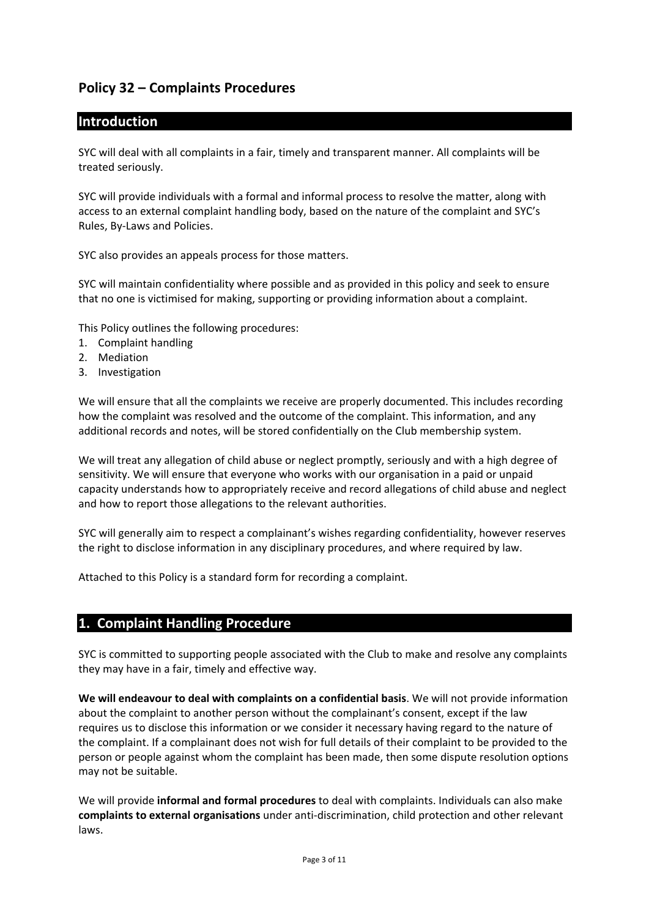# **Policy 32 – Complaints Procedures**

## **Introduction**

SYC will deal with all complaints in a fair, timely and transparent manner. All complaints will be treated seriously.

SYC will provide individuals with a formal and informal process to resolve the matter, along with access to an external complaint handling body, based on the nature of the complaint and SYC's Rules, By-Laws and Policies.

SYC also provides an appeals process for those matters.

SYC will maintain confidentiality where possible and as provided in this policy and seek to ensure that no one is victimised for making, supporting or providing information about a complaint.

This Policy outlines the following procedures:

- 1. Complaint handling
- 2. Mediation
- 3. Investigation

We will ensure that all the complaints we receive are properly documented. This includes recording how the complaint was resolved and the outcome of the complaint. This information, and any additional records and notes, will be stored confidentially on the Club membership system.

We will treat any allegation of child abuse or neglect promptly, seriously and with a high degree of sensitivity. We will ensure that everyone who works with our organisation in a paid or unpaid capacity understands how to appropriately receive and record allegations of child abuse and neglect and how to report those allegations to the relevant authorities.

SYC will generally aim to respect a complainant's wishes regarding confidentiality, however reserves the right to disclose information in any disciplinary procedures, and where required by law.

Attached to this Policy is a standard form for recording a complaint.

# **1. Complaint Handling Procedure**

SYC is committed to supporting people associated with the Club to make and resolve any complaints they may have in a fair, timely and effective way.

**We will endeavour to deal with complaints on a confidential basis**. We will not provide information about the complaint to another person without the complainant's consent, except if the law requires us to disclose this information or we consider it necessary having regard to the nature of the complaint. If a complainant does not wish for full details of their complaint to be provided to the person or people against whom the complaint has been made, then some dispute resolution options may not be suitable.

We will provide **informal and formal procedures** to deal with complaints. Individuals can also make **complaints to external organisations** under anti-discrimination, child protection and other relevant laws.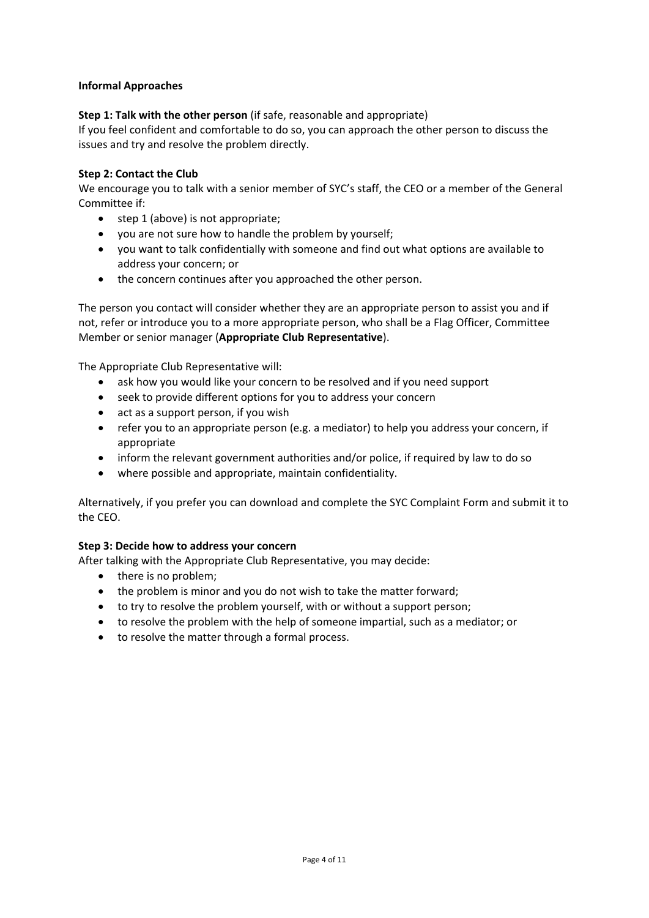### **Informal Approaches**

### **Step 1: Talk with the other person** (if safe, reasonable and appropriate)

If you feel confident and comfortable to do so, you can approach the other person to discuss the issues and try and resolve the problem directly.

#### **Step 2: Contact the Club**

We encourage you to talk with a senior member of SYC's staff, the CEO or a member of the General Committee if:

- step 1 (above) is not appropriate;
- you are not sure how to handle the problem by yourself;
- you want to talk confidentially with someone and find out what options are available to address your concern; or
- the concern continues after you approached the other person.

The person you contact will consider whether they are an appropriate person to assist you and if not, refer or introduce you to a more appropriate person, who shall be a Flag Officer, Committee Member or senior manager (**Appropriate Club Representative**).

The Appropriate Club Representative will:

- ask how you would like your concern to be resolved and if you need support
- seek to provide different options for you to address your concern
- act as a support person, if you wish
- refer you to an appropriate person (e.g. a mediator) to help you address your concern, if appropriate
- inform the relevant government authorities and/or police, if required by law to do so
- where possible and appropriate, maintain confidentiality.

Alternatively, if you prefer you can download and complete the SYC Complaint Form and submit it to the CEO.

### **Step 3: Decide how to address your concern**

After talking with the Appropriate Club Representative, you may decide:

- there is no problem;
- the problem is minor and you do not wish to take the matter forward;
- to try to resolve the problem yourself, with or without a support person;
- to resolve the problem with the help of someone impartial, such as a mediator; or
- to resolve the matter through a formal process.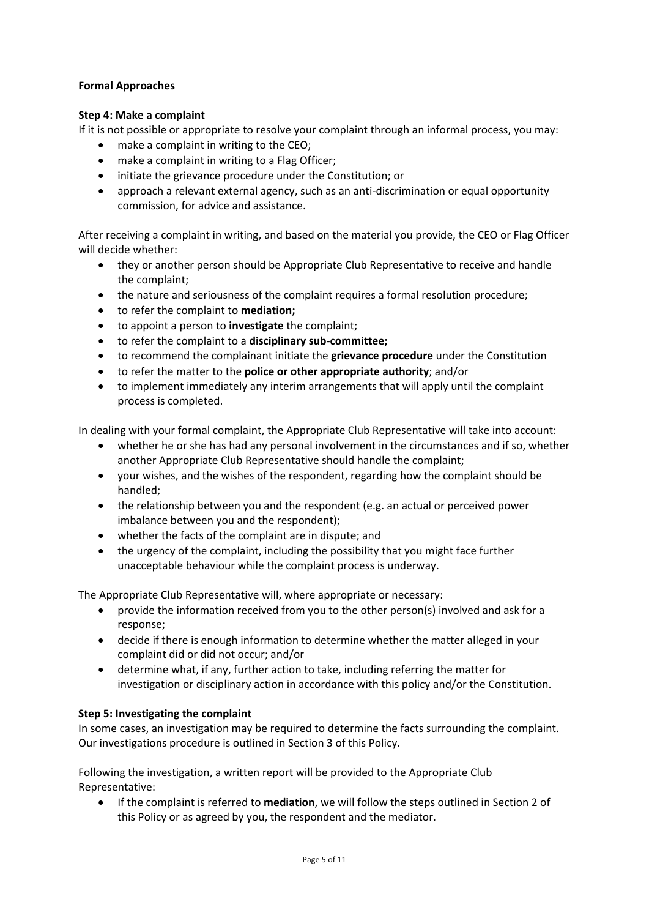### **Formal Approaches**

#### **Step 4: Make a complaint**

If it is not possible or appropriate to resolve your complaint through an informal process, you may:

- make a complaint in writing to the CEO;
- make a complaint in writing to a Flag Officer;
- initiate the grievance procedure under the Constitution; or
- approach a relevant external agency, such as an anti-discrimination or equal opportunity commission, for advice and assistance.

After receiving a complaint in writing, and based on the material you provide, the CEO or Flag Officer will decide whether:

- they or another person should be Appropriate Club Representative to receive and handle the complaint;
- the nature and seriousness of the complaint requires a formal resolution procedure;
- to refer the complaint to **mediation;**
- to appoint a person to **investigate** the complaint;
- to refer the complaint to a **disciplinary sub-committee;**
- to recommend the complainant initiate the **grievance procedure** under the Constitution
- to refer the matter to the **police or other appropriate authority**; and/or
- to implement immediately any interim arrangements that will apply until the complaint process is completed.

In dealing with your formal complaint, the Appropriate Club Representative will take into account:

- whether he or she has had any personal involvement in the circumstances and if so, whether another Appropriate Club Representative should handle the complaint;
- your wishes, and the wishes of the respondent, regarding how the complaint should be handled;
- the relationship between you and the respondent (e.g. an actual or perceived power imbalance between you and the respondent);
- whether the facts of the complaint are in dispute; and
- the urgency of the complaint, including the possibility that you might face further unacceptable behaviour while the complaint process is underway.

The Appropriate Club Representative will, where appropriate or necessary:

- provide the information received from you to the other person(s) involved and ask for a response;
- decide if there is enough information to determine whether the matter alleged in your complaint did or did not occur; and/or
- determine what, if any, further action to take, including referring the matter for investigation or disciplinary action in accordance with this policy and/or the Constitution.

### **Step 5: Investigating the complaint**

In some cases, an investigation may be required to determine the facts surrounding the complaint. Our investigations procedure is outlined in Section 3 of this Policy.

Following the investigation, a written report will be provided to the Appropriate Club Representative:

• If the complaint is referred to **mediation**, we will follow the steps outlined in Section 2 of this Policy or as agreed by you, the respondent and the mediator.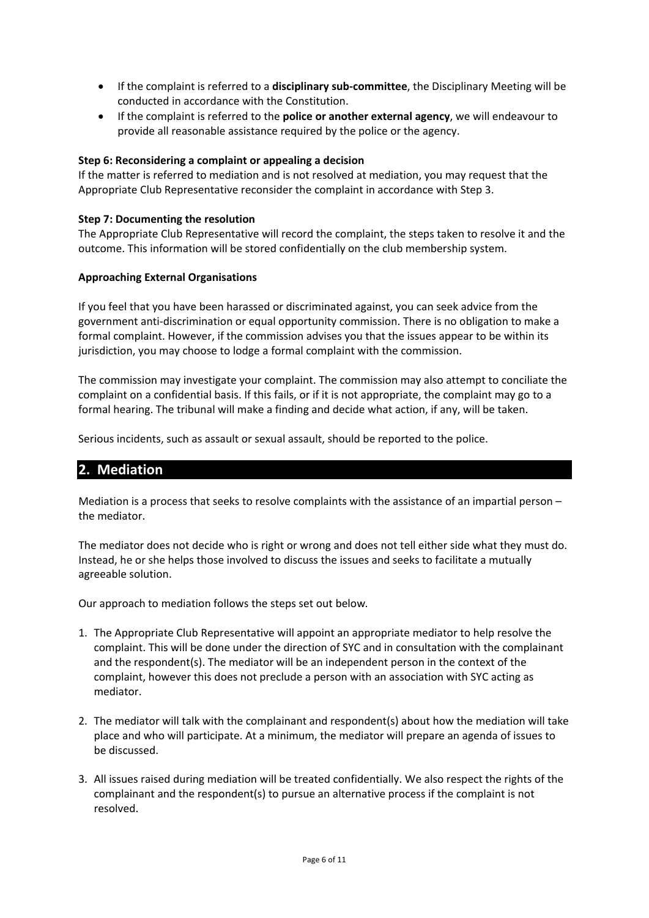- If the complaint is referred to a **disciplinary sub-committee**, the Disciplinary Meeting will be conducted in accordance with the Constitution.
- If the complaint is referred to the **police or another external agency**, we will endeavour to provide all reasonable assistance required by the police or the agency.

### **Step 6: Reconsidering a complaint or appealing a decision**

If the matter is referred to mediation and is not resolved at mediation, you may request that the Appropriate Club Representative reconsider the complaint in accordance with Step 3.

#### **Step 7: Documenting the resolution**

The Appropriate Club Representative will record the complaint, the steps taken to resolve it and the outcome. This information will be stored confidentially on the club membership system.

### **Approaching External Organisations**

If you feel that you have been harassed or discriminated against, you can seek advice from the government anti-discrimination or equal opportunity commission. There is no obligation to make a formal complaint. However, if the commission advises you that the issues appear to be within its jurisdiction, you may choose to lodge a formal complaint with the commission.

The commission may investigate your complaint. The commission may also attempt to conciliate the complaint on a confidential basis. If this fails, or if it is not appropriate, the complaint may go to a formal hearing. The tribunal will make a finding and decide what action, if any, will be taken.

Serious incidents, such as assault or sexual assault, should be reported to the police.

## **2. Mediation**

Mediation is a process that seeks to resolve complaints with the assistance of an impartial person – the mediator.

The mediator does not decide who is right or wrong and does not tell either side what they must do. Instead, he or she helps those involved to discuss the issues and seeks to facilitate a mutually agreeable solution.

Our approach to mediation follows the steps set out below*.* 

- 1. The Appropriate Club Representative will appoint an appropriate mediator to help resolve the complaint. This will be done under the direction of SYC and in consultation with the complainant and the respondent(s). The mediator will be an independent person in the context of the complaint, however this does not preclude a person with an association with SYC acting as mediator.
- 2. The mediator will talk with the complainant and respondent(s) about how the mediation will take place and who will participate. At a minimum, the mediator will prepare an agenda of issues to be discussed.
- 3. All issues raised during mediation will be treated confidentially. We also respect the rights of the complainant and the respondent(s) to pursue an alternative process if the complaint is not resolved.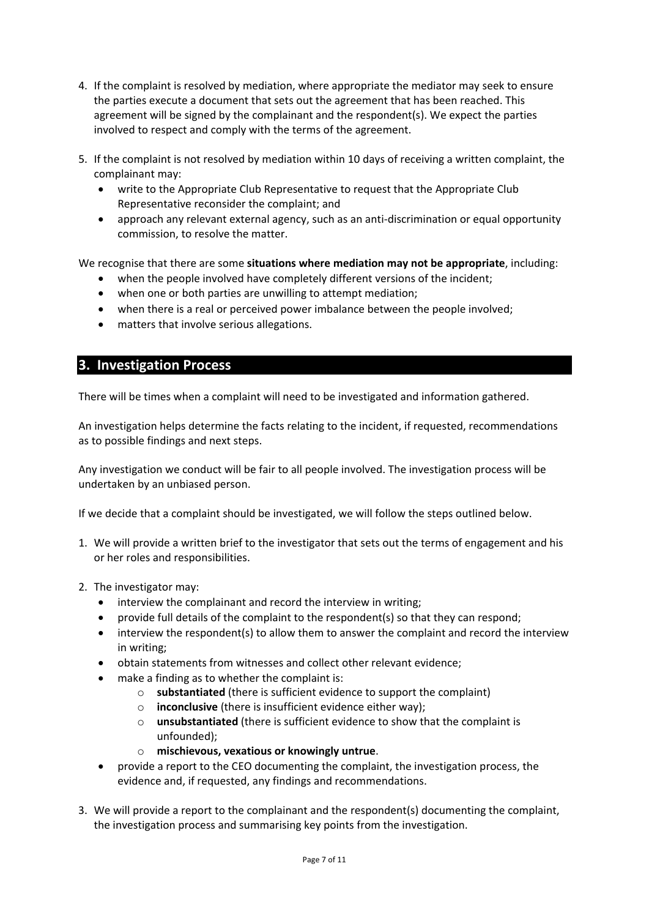- 4. If the complaint is resolved by mediation, where appropriate the mediator may seek to ensure the parties execute a document that sets out the agreement that has been reached. This agreement will be signed by the complainant and the respondent(s). We expect the parties involved to respect and comply with the terms of the agreement.
- 5. If the complaint is not resolved by mediation within 10 days of receiving a written complaint, the complainant may:
	- write to the Appropriate Club Representative to request that the Appropriate Club Representative reconsider the complaint; and
	- approach any relevant external agency, such as an anti-discrimination or equal opportunity commission, to resolve the matter.

We recognise that there are some **situations where mediation may not be appropriate**, including:

- when the people involved have completely different versions of the incident;
- when one or both parties are unwilling to attempt mediation;
- when there is a real or perceived power imbalance between the people involved;
- matters that involve serious allegations.

# **3. Investigation Process**

There will be times when a complaint will need to be investigated and information gathered.

An investigation helps determine the facts relating to the incident, if requested, recommendations as to possible findings and next steps.

Any investigation we conduct will be fair to all people involved. The investigation process will be undertaken by an unbiased person.

If we decide that a complaint should be investigated, we will follow the steps outlined below.

- 1. We will provide a written brief to the investigator that sets out the terms of engagement and his or her roles and responsibilities.
- 2. The investigator may:
	- interview the complainant and record the interview in writing;
	- provide full details of the complaint to the respondent(s) so that they can respond;
	- interview the respondent(s) to allow them to answer the complaint and record the interview in writing;
	- obtain statements from witnesses and collect other relevant evidence;
	- make a finding as to whether the complaint is:
		- o **substantiated** (there is sufficient evidence to support the complaint)
		- o **inconclusive** (there is insufficient evidence either way);
		- o **unsubstantiated** (there is sufficient evidence to show that the complaint is unfounded);
		- o **mischievous, vexatious or knowingly untrue**.
	- provide a report to the CEO documenting the complaint, the investigation process, the evidence and, if requested, any findings and recommendations.
- 3. We will provide a report to the complainant and the respondent(s) documenting the complaint, the investigation process and summarising key points from the investigation.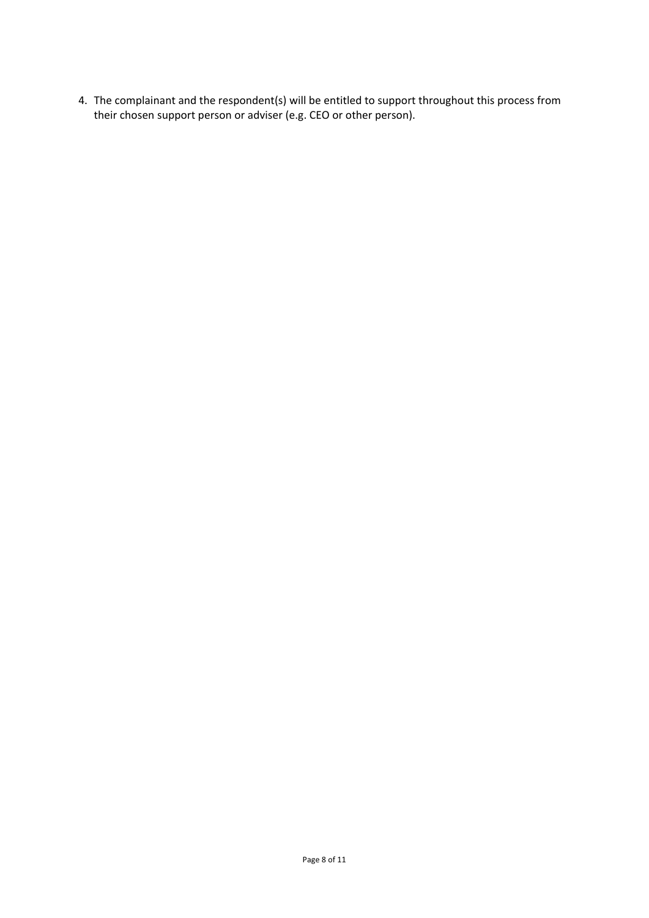4. The complainant and the respondent(s) will be entitled to support throughout this process from their chosen support person or adviser (e.g. CEO or other person).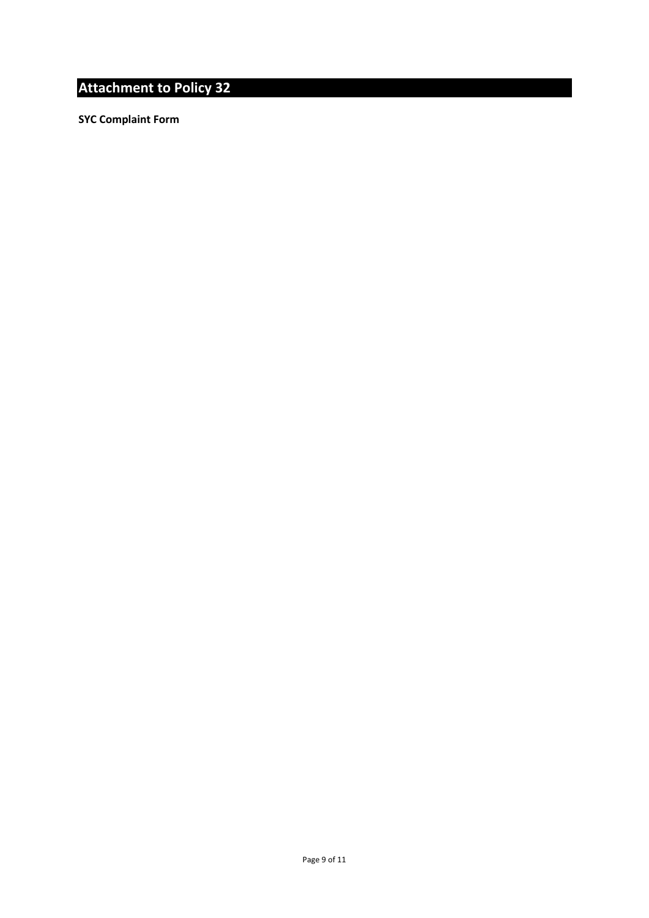# **Attachment to Policy 32**

**SYC Complaint Form**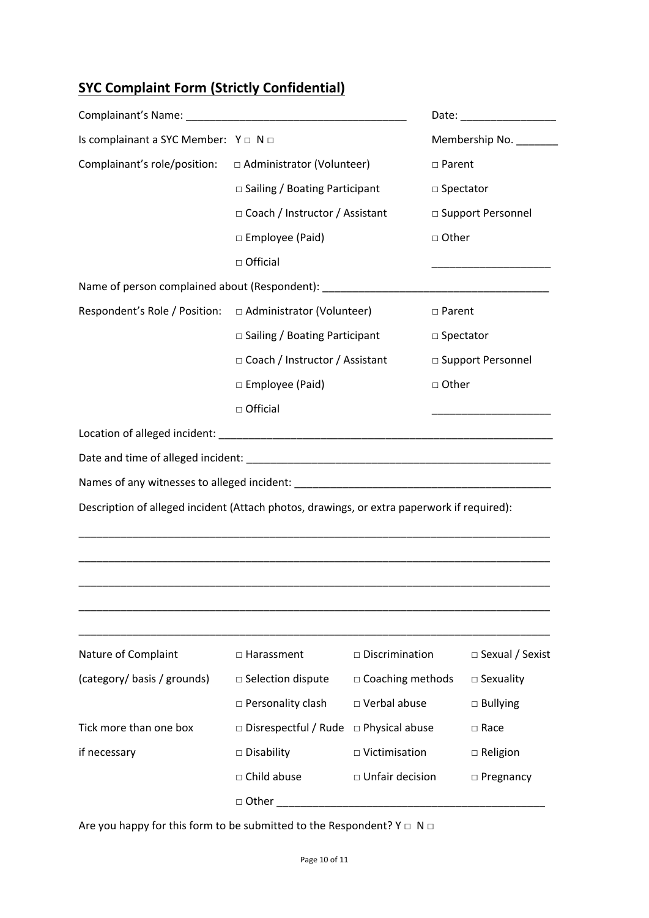# **SYC Complaint Form (Strictly Confidential)**

| Is complainant a SYC Member: $Y \square \square \square$                                   |                                  |                                      | Membership No. ________                 |  |
|--------------------------------------------------------------------------------------------|----------------------------------|--------------------------------------|-----------------------------------------|--|
| Complainant's role/position: $\Box$ Administrator (Volunteer)                              |                                  |                                      | □ Parent                                |  |
|                                                                                            | □ Sailing / Boating Participant  |                                      | □ Spectator                             |  |
|                                                                                            | □ Coach / Instructor / Assistant |                                      | □ Support Personnel                     |  |
|                                                                                            | □ Employee (Paid)                |                                      | □ Other                                 |  |
|                                                                                            | □ Official                       |                                      | <u> 1980 - Johann Barbara, martin a</u> |  |
| Name of person complained about (Respondent): ___________________________________          |                                  |                                      |                                         |  |
|                                                                                            |                                  |                                      | □ Parent                                |  |
|                                                                                            | □ Sailing / Boating Participant  |                                      | □ Spectator                             |  |
|                                                                                            | □ Coach / Instructor / Assistant |                                      | □ Support Personnel                     |  |
|                                                                                            | □ Employee (Paid)                |                                      | □ Other                                 |  |
|                                                                                            | $\Box$ Official                  |                                      |                                         |  |
|                                                                                            |                                  |                                      |                                         |  |
|                                                                                            |                                  |                                      |                                         |  |
|                                                                                            |                                  |                                      |                                         |  |
| Description of alleged incident (Attach photos, drawings, or extra paperwork if required): |                                  |                                      |                                         |  |
| Nature of Complaint                                                                        | □ Harassment                     | $\square$ Discrimination             | $\Box$ Sexual / Sexist                  |  |
|                                                                                            |                                  |                                      |                                         |  |
| (category/basis/grounds)                                                                   | □ Selection dispute              | $\Box$ Coaching methods              | $\square$ Sexuality                     |  |
|                                                                                            | $\square$ Personality clash      | □ Verbal abuse                       | $\square$ Bullying                      |  |
| Tick more than one box                                                                     | $\Box$ Disrespectful / Rude      | $\Box$ Physical abuse<br>$\Box$ Race |                                         |  |
| if necessary                                                                               | $\square$ Disability             | $\Box$ Victimisation                 | $\Box$ Religion                         |  |
|                                                                                            | □ Child abuse                    | □ Unfair decision                    | $\square$ Pregnancy                     |  |
|                                                                                            | □ Other                          |                                      |                                         |  |

Are you happy for this form to be submitted to the Respondent?  $Y \square \mathbb{N} \square$